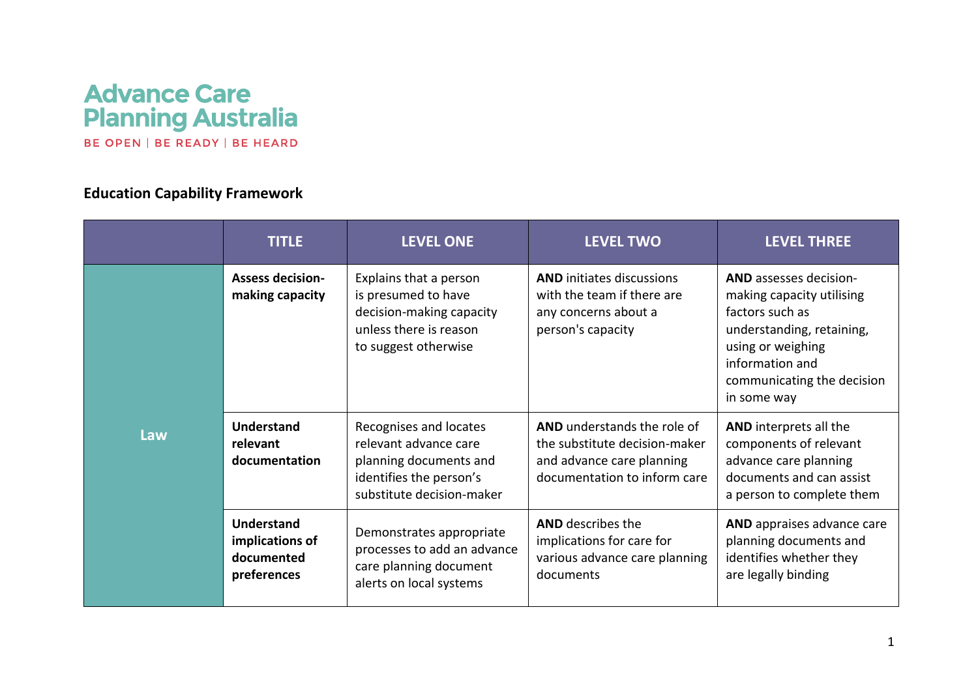## **Advance Care Planning Australia** BE OPEN | BE READY | BE HEARD

## **Education Capability Framework**

|     | <b>TITLE</b>                                                      | <b>LEVEL ONE</b>                                                                                                                  | <b>LEVEL TWO</b>                                                                                                          | <b>LEVEL THREE</b>                                                                                                                                                                       |
|-----|-------------------------------------------------------------------|-----------------------------------------------------------------------------------------------------------------------------------|---------------------------------------------------------------------------------------------------------------------------|------------------------------------------------------------------------------------------------------------------------------------------------------------------------------------------|
| Law | <b>Assess decision-</b><br>making capacity                        | Explains that a person<br>is presumed to have<br>decision-making capacity<br>unless there is reason<br>to suggest otherwise       | <b>AND</b> initiates discussions<br>with the team if there are<br>any concerns about a<br>person's capacity               | AND assesses decision-<br>making capacity utilising<br>factors such as<br>understanding, retaining,<br>using or weighing<br>information and<br>communicating the decision<br>in some way |
|     | <b>Understand</b><br>relevant<br>documentation                    | Recognises and locates<br>relevant advance care<br>planning documents and<br>identifies the person's<br>substitute decision-maker | AND understands the role of<br>the substitute decision-maker<br>and advance care planning<br>documentation to inform care | AND interprets all the<br>components of relevant<br>advance care planning<br>documents and can assist<br>a person to complete them                                                       |
|     | <b>Understand</b><br>implications of<br>documented<br>preferences | Demonstrates appropriate<br>processes to add an advance<br>care planning document<br>alerts on local systems                      | <b>AND</b> describes the<br>implications for care for<br>various advance care planning<br>documents                       | AND appraises advance care<br>planning documents and<br>identifies whether they<br>are legally binding                                                                                   |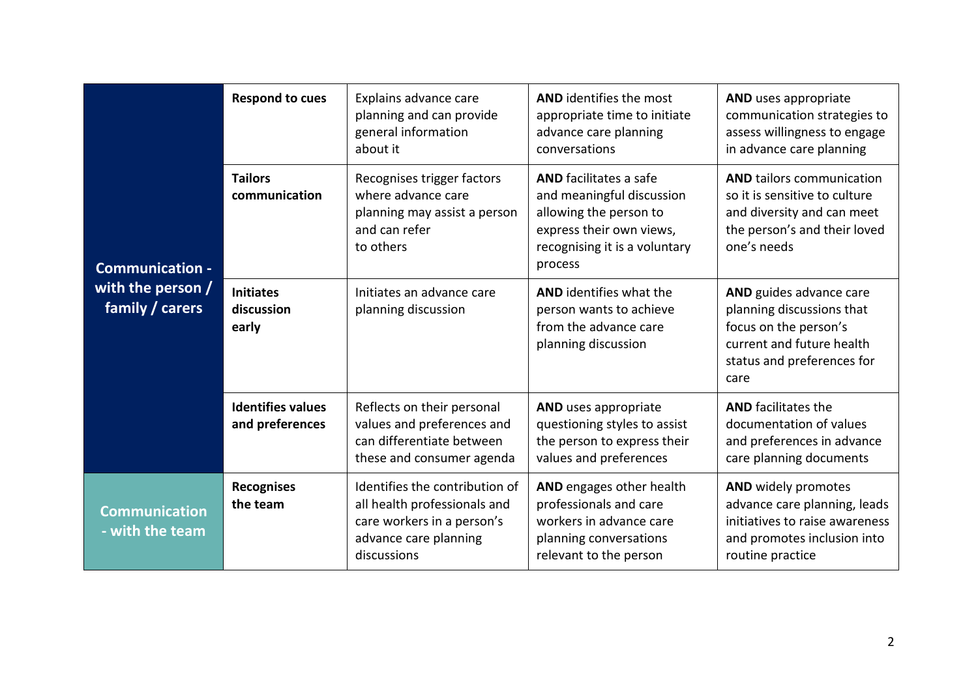| <b>Communication -</b><br>with the person /<br>family / carers | <b>Respond to cues</b>                      | Explains advance care<br>planning and can provide<br>general information<br>about it                                                 | <b>AND</b> identifies the most<br>appropriate time to initiate<br>advance care planning<br>conversations                                                     | AND uses appropriate<br>communication strategies to<br>assess willingness to engage<br>in advance care planning                                  |
|----------------------------------------------------------------|---------------------------------------------|--------------------------------------------------------------------------------------------------------------------------------------|--------------------------------------------------------------------------------------------------------------------------------------------------------------|--------------------------------------------------------------------------------------------------------------------------------------------------|
|                                                                | <b>Tailors</b><br>communication             | Recognises trigger factors<br>where advance care<br>planning may assist a person<br>and can refer<br>to others                       | <b>AND</b> facilitates a safe<br>and meaningful discussion<br>allowing the person to<br>express their own views,<br>recognising it is a voluntary<br>process | <b>AND tailors communication</b><br>so it is sensitive to culture<br>and diversity and can meet<br>the person's and their loved<br>one's needs   |
|                                                                | <b>Initiates</b><br>discussion<br>early     | Initiates an advance care<br>planning discussion                                                                                     | AND identifies what the<br>person wants to achieve<br>from the advance care<br>planning discussion                                                           | AND guides advance care<br>planning discussions that<br>focus on the person's<br>current and future health<br>status and preferences for<br>care |
|                                                                | <b>Identifies values</b><br>and preferences | Reflects on their personal<br>values and preferences and<br>can differentiate between<br>these and consumer agenda                   | AND uses appropriate<br>questioning styles to assist<br>the person to express their<br>values and preferences                                                | <b>AND</b> facilitates the<br>documentation of values<br>and preferences in advance<br>care planning documents                                   |
| <b>Communication</b><br>- with the team                        | <b>Recognises</b><br>the team               | Identifies the contribution of<br>all health professionals and<br>care workers in a person's<br>advance care planning<br>discussions | AND engages other health<br>professionals and care<br>workers in advance care<br>planning conversations<br>relevant to the person                            | <b>AND</b> widely promotes<br>advance care planning, leads<br>initiatives to raise awareness<br>and promotes inclusion into<br>routine practice  |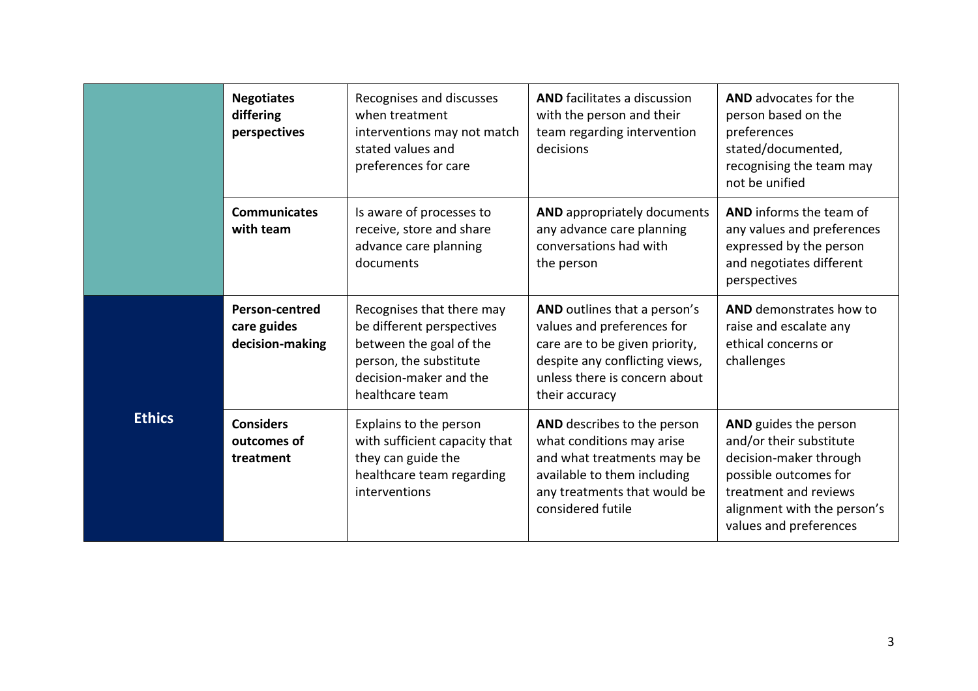|               | <b>Negotiates</b><br>differing<br>perspectives   | Recognises and discusses<br>when treatment<br>interventions may not match<br>stated values and<br>preferences for care                                   | AND facilitates a discussion<br>with the person and their<br>team regarding intervention<br>decisions                                                                             | <b>AND</b> advocates for the<br>person based on the<br>preferences<br>stated/documented,<br>recognising the team may<br>not be unified                                                |
|---------------|--------------------------------------------------|----------------------------------------------------------------------------------------------------------------------------------------------------------|-----------------------------------------------------------------------------------------------------------------------------------------------------------------------------------|---------------------------------------------------------------------------------------------------------------------------------------------------------------------------------------|
|               | <b>Communicates</b><br>with team                 | Is aware of processes to<br>receive, store and share<br>advance care planning<br>documents                                                               | <b>AND</b> appropriately documents<br>any advance care planning<br>conversations had with<br>the person                                                                           | AND informs the team of<br>any values and preferences<br>expressed by the person<br>and negotiates different<br>perspectives                                                          |
|               | Person-centred<br>care guides<br>decision-making | Recognises that there may<br>be different perspectives<br>between the goal of the<br>person, the substitute<br>decision-maker and the<br>healthcare team | AND outlines that a person's<br>values and preferences for<br>care are to be given priority,<br>despite any conflicting views,<br>unless there is concern about<br>their accuracy | AND demonstrates how to<br>raise and escalate any<br>ethical concerns or<br>challenges                                                                                                |
| <b>Ethics</b> | <b>Considers</b><br>outcomes of<br>treatment     | Explains to the person<br>with sufficient capacity that<br>they can guide the<br>healthcare team regarding<br>interventions                              | AND describes to the person<br>what conditions may arise<br>and what treatments may be<br>available to them including<br>any treatments that would be<br>considered futile        | AND guides the person<br>and/or their substitute<br>decision-maker through<br>possible outcomes for<br>treatment and reviews<br>alignment with the person's<br>values and preferences |